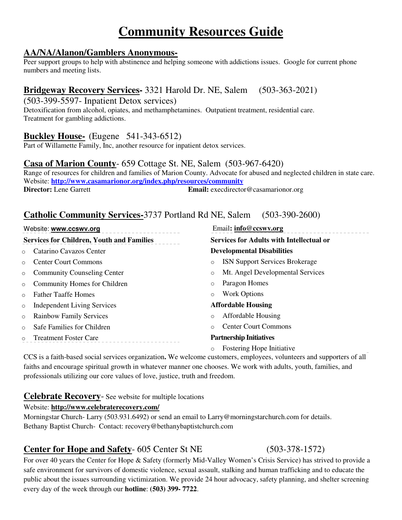# **Community Resources Guide**

#### **AA/NA/Alanon/Gamblers Anonymous-**

Peer support groups to help with abstinence and helping someone with addictions issues. Google for current phone numbers and meeting lists.

## **Bridgeway Recovery Services-** 3321 Harold Dr. NE, Salem (503-363-2021)

(503-399-5597- Inpatient Detox services)

Detoxification from alcohol, opiates, and methamphetamines. Outpatient treatment, residential care. Treatment for gambling addictions.

## **Buckley House-** (Eugene 541-343-6512)

Part of Willamette Family, Inc, another resource for inpatient detox services.

#### **Casa of Marion County**- 659 Cottage St. NE, Salem (503-967-6420)

Range of resources for children and families of Marion County. Advocate for abused and neglected children in state care. Website: **http://www.casamarionor.org/index.php/resources/community Email:** execdirector@casamarionor.org

### **Catholic Community Services-**3737 Portland Rd NE, Salem (503-390-2600)

Website: www.ccswv.org **Email:** info@ccswv.org **Email**: info@ccswv.org **Services for Children, Youth and Families** o Catarino Cavazos Center o Center Court Commons o Community Counseling Center o Community Homes for Children o Father Taaffe Homes o Independent Living Services o Rainbow Family Services o Safe Families for Children o Treatment Foster Care **Services for Adults with Intellectual or Developmental Disabilities** o ISN Support Services Brokerage o Mt. Angel Developmental Services o Paragon Homes o Work Options **Affordable Housing** o Affordable Housing o Center Court Commons **Partnership Initiatives**  o Fostering Hope Initiative

CCS is a faith-based social services organization**.** We welcome customers, employees, volunteers and supporters of all faiths and encourage spiritual growth in whatever manner one chooses. We work with adults, youth, families, and professionals utilizing our core values of love, justice, truth and freedom.

#### **Celebrate Recovery**- See website for multiple locations

#### Website: **http://www.celebraterecovery.com/**

Morningstar Church- Larry (503.931.6492) or send an email to Larry@morningstarchurch.com for details. Bethany Baptist Church- Contact: recovery@bethanybaptistchurch.com

## **Center for Hope and Safety-** 605 Center St NE (503-378-1572)

For over 40 years the Center for Hope & Safety (formerly Mid-Valley Women's Crisis Service) has strived to provide a safe environment for survivors of domestic violence, sexual assault, stalking and human trafficking and to educate the public about the issues surrounding victimization. We provide 24 hour advocacy, safety planning, and shelter screening every day of the week through our **hotline**: **(503) 399- 7722**.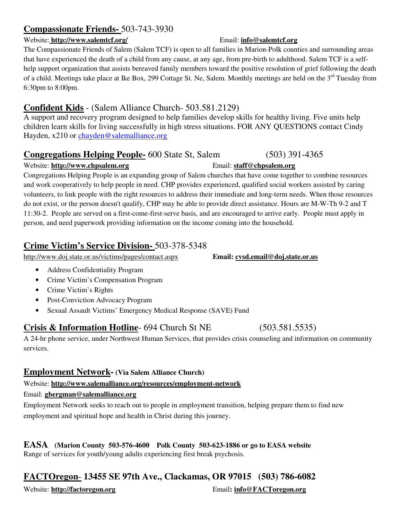## **Compassionate Friends-** 503-743-3930

#### Website: **http://www.salemtcf.org/** Email: **info@salemtcf.org**

The Compassionate Friends of Salem (Salem TCF) is open to all families in Marion-Polk counties and surrounding areas that have experienced the death of a child from any cause, at any age, from pre-birth to adulthood. Salem TCF is a selfhelp support organization that assists bereaved family members toward the positive resolution of grief following the death of a child. Meetings take place at Ike Box, 299 Cottage St. Ne, Salem. Monthly meetings are held on the 3<sup>rd</sup> Tuesday from 6:30pm to 8:00pm.

## **Confident Kids** - (Salem Alliance Church- 503.581.2129)

A support and recovery program designed to help families develop skills for healthy living. Five units help children learn skills for living successfully in high stress situations. FOR ANY QUESTIONS contact Cindy Hayden, x210 or chayden@salemalliance.org

## **Congregations Helping People-** 600 State St, Salem (503) 391-4365

#### Website: **http://www.chpsalem.org** Email: **staff@chpsalem.org**

Congregations Helping People is an expanding group of Salem churches that have come together to combine resources and work cooperatively to help people in need. CHP provides experienced, qualified social workers assisted by caring volunteers, to link people with the right resources to address their immediate and long-term needs. When those resources do not exist, or the person doesn't qualify, CHP may be able to provide direct assistance. Hours are M-W-Th 9-2 and T 11:30-2. People are served on a first-come-first-serve basis, and are encouraged to arrive early. People must apply in person, and need paperwork providing information on the income coming into the household.

## **Crime Victim's Service Division-** 503-378-5348

http://www.doj.state.or.us/victims/pages/contact.aspx **Email: cvsd.email@doj.state.or.us**

- Address Confidentiality Program
- Crime Victim's Compensation Program
- Crime Victim's Rights
- Post-Conviction Advocacy Program
- Sexual Assault Victims' Emergency Medical Response (SAVE) Fund

## **Crisis & Information Hotline**- 694 Church St NE (503.581.5535)

A 24-hr phone service, under Northwest Human Services, that provides crisis counseling and information on community services.

## **Employment Network- (Via Salem Alliance Church)**

Website: **http://www.salemalliance.org/resources/employment-network**

Email: **gbergman@salemalliance.org** 

Employment Network seeks to reach out to people in employment transition, helping prepare them to find new employment and spiritual hope and health in Christ during this journey.

# **EASA (Marion County 503-576-4600 Polk County 503-623-1886 or go to EASA website**

Range of services for youth/young adults experiencing first break psychosis.

## **FACTOregon**- **13455 SE 97th Ave., Clackamas, OR 97015 (503) 786-6082**

Website: **http://factoregon.org** Email**: info@FACToregon.org**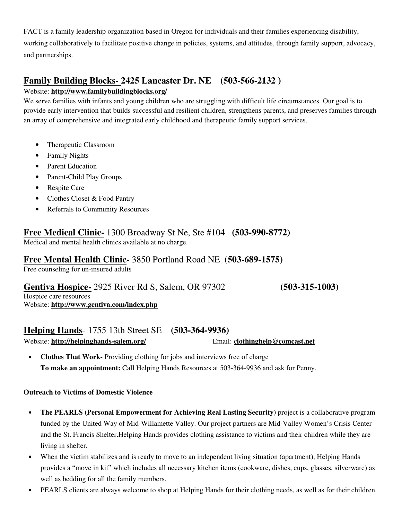FACT is a family leadership organization based in Oregon for individuals and their families experiencing disability, working collaboratively to facilitate positive change in policies, systems, and attitudes, through family support, advocacy, and partnerships.

## **Family Building Blocks- 2425 Lancaster Dr. NE (503-566-2132 )**

#### Website: **http://www.familybuildingblocks.org/**

We serve families with infants and young children who are struggling with difficult life circumstances. Our goal is to provide early intervention that builds successful and resilient children, strengthens parents, and preserves families through an array of comprehensive and integrated early childhood and therapeutic family support services.

- Therapeutic Classroom
- Family Nights
- Parent Education
- Parent-Child Play Groups
- Respite Care
- Clothes Closet & Food Pantry
- Referrals to Community Resources

#### **Free Medical Clinic-** 1300 Broadway St Ne, Ste #104 **(503-990-8772)**  Medical and mental health clinics available at no charge.

## **Free Mental Health Clinic-** 3850 Portland Road NE **(503-689-1575)**

Free counseling for un-insured adults

## **Gentiva Hospice-** 2925 River Rd S, Salem, OR 97302 **(503-315-1003)**

Hospice care resources Website: **http://www.gentiva.com/index.php**

# **Helping Hands**- 1755 13th Street SE **(503-364-9936)**

Website: **http://helpinghands-salem.org/** Email: **clothinghelp@comcast.net** 

• **Clothes That Work-** Providing clothing for jobs and interviews free of charge **To make an appointment:** Call Helping Hands Resources at 503-364-9936 and ask for Penny.

#### **Outreach to Victims of Domestic Violence**

- **The PEARLS (Personal Empowerment for Achieving Real Lasting Security)** project is a collaborative program funded by the United Way of Mid-Willamette Valley. Our project partners are Mid-Valley Women's Crisis Center and the St. Francis Shelter.Helping Hands provides clothing assistance to victims and their children while they are living in shelter.
- When the victim stabilizes and is ready to move to an independent living situation (apartment), Helping Hands provides a "move in kit" which includes all necessary kitchen items (cookware, dishes, cups, glasses, silverware) as well as bedding for all the family members.
- PEARLS clients are always welcome to shop at Helping Hands for their clothing needs, as well as for their children.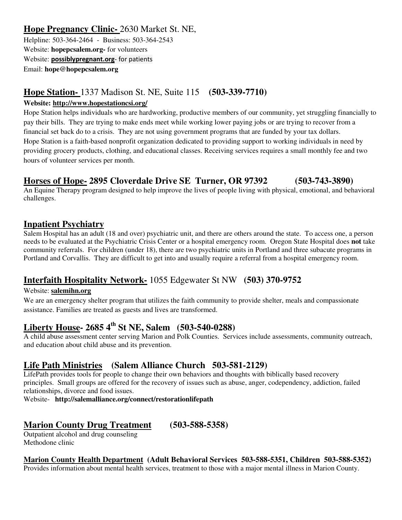## **Hope Pregnancy Clinic-** 2630 Market St. NE,

Helpline: 503-364-2464 - Business: 503-364-2543 Website: **hopepcsalem.org-** for volunteers Website: **possiblypregnant.org**- for patients Email: **hope@hopepcsalem.org**

## **Hope Station-** 1337 Madison St. NE, Suite 115 **(503-339-7710)**

#### **Website: http://www.hopestationcsi.org/**

Hope Station helps individuals who are hardworking, productive members of our community, yet struggling financially to pay their bills. They are trying to make ends meet while working lower paying jobs or are trying to recover from a financial set back do to a crisis. They are not using government programs that are funded by your tax dollars. Hope Station is a faith-based nonprofit organization dedicated to providing support to working individuals in need by providing grocery products, clothing, and educational classes. Receiving services requires a small monthly fee and two hours of volunteer services per month.

## **Horses of Hope- 2895 Cloverdale Drive SE Turner, OR 97392 (503-743-3890)**

An Equine Therapy program designed to help improve the lives of people living with physical, emotional, and behavioral challenges.

## **Inpatient Psychiatry**

Salem Hospital has an adult (18 and over) psychiatric unit, and there are others around the state. To access one, a person needs to be evaluated at the Psychiatric Crisis Center or a hospital emergency room. Oregon State Hospital does **not** take community referrals. For children (under 18), there are two psychiatric units in Portland and three subacute programs in Portland and Corvallis. They are difficult to get into and usually require a referral from a hospital emergency room.

## **Interfaith Hospitality Network-** 1055 Edgewater St NW **(503) 370-9752**

#### Website: **salemihn.org**

We are an emergency shelter program that utilizes the faith community to provide shelter, meals and compassionate assistance. Families are treated as guests and lives are transformed.

## **Liberty House- 2685 4th St NE, Salem (503-540-0288)**

A child abuse assessment center serving Marion and Polk Counties. Services include assessments, community outreach, and education about child abuse and its prevention.

## **Life Path Ministries (Salem Alliance Church 503-581-2129)**

LifePath provides tools for people to change their own behaviors and thoughts with biblically based recovery principles. Small groups are offered for the recovery of issues such as abuse, anger, codependency, addiction, failed relationships, divorce and food issues.

Website- **http://salemalliance.org/connect/restorationlifepath**

## **Marion County Drug Treatment (503-588-5358)**

Outpatient alcohol and drug counseling Methodone clinic

#### **Marion County Health Department (Adult Behavioral Services 503-588-5351, Children 503-588-5352)**

Provides information about mental health services, treatment to those with a major mental illness in Marion County.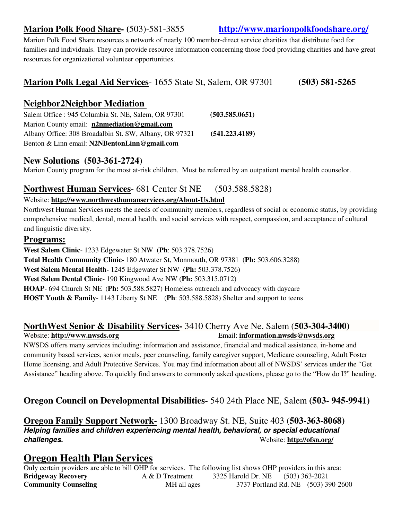## **Marion Polk Food Share- (**503)-581-3855 **http://www.marionpolkfoodshare.org/**

Marion Polk Food Share resources a network of nearly 100 member-direct service charities that distribute food for families and individuals. They can provide resource information concerning those food providing charities and have great resources for organizational volunteer opportunities.

## **Marion Polk Legal Aid Services**- 1655 State St, Salem, OR 97301 **(503) 581-5265**

## **Neighbor2Neighbor Mediation**

Salem Office : 945 Columbia St. NE, Salem, OR 97301 **(503.585.0651)** Marion County email: **n2nmediation@gmail.com** Albany Office: 308 Broadalbin St. SW, Albany, OR 97321 **(541.223.4189)** Benton & Linn email: **N2NBentonLinn@gmail.com**

#### **New Solutions (503-361-2724)**

Marion County program for the most at-risk children. Must be referred by an outpatient mental health counselor.

## **Northwest Human Services**- 681 Center St NE (503.588.5828)

#### Website: **http://www.northwesthumanservices.org/About-Us.html**

Northwest Human Services meets the needs of community members, regardless of social or economic status, by providing comprehensive medical, dental, mental health, and social services with respect, compassion, and acceptance of cultural and linguistic diversity.

#### **Programs:**

**West Salem Clinic**- 1233 Edgewater St NW (**Ph**: 503.378.7526) **Total Health Community Clinic-** 180 Atwater St, Monmouth, OR 97381 (**Ph:** 503.606.3288) **West Salem Mental Health-** 1245 Edgewater St NW (**Ph:** 503.378.7526) **West Salem Dental Clinic**- 190 Kingwood Ave NW (**Ph:** 503.315.0712) **HOAP**- 694 Church St NE (**Ph:** 503.588.5827) Homeless outreach and advocacy with daycare **HOST Youth & Family**- 1143 Liberty St NE (**Ph**: 503.588.5828) Shelter and support to teens

#### **NorthWest Senior & Disability Services-** 3410 Cherry Ave Ne, Salem (**503-304-3400)** Website: http://www.nwsds.org **Email:** information.nwsds@nwsds.org

NWSDS offers many services including: information and assistance, financial and medical assistance, in-home and community based services, senior meals, peer counseling, family caregiver support, Medicare counseling, Adult Foster Home licensing, and Adult Protective Services. You may find information about all of NWSDS' services under the "Get Assistance" heading above. To quickly find answers to commonly asked questions, please go to the "How do I?" heading.

## **Oregon Council on Developmental Disabilities-** 540 24th Place NE, Salem **(503- 945-9941)**

**Oregon Family Support Network-** 1300 Broadway St. NE, Suite 403 (**503-363-8068) Helping families and children experiencing mental health, behavioral, or special educational challenges.** Website: **http://ofsn.org/** 

## **Oregon Health Plan Services**

Only certain providers are able to bill OHP for services. The following list shows OHP providers in this area: **Bridgeway Recovery** A & D Treatment 3325 Harold Dr. NE (503) 363-2021 **Community Counseling 6.4 MH all ages** 3737 Portland Rd. NE (503) 390-2600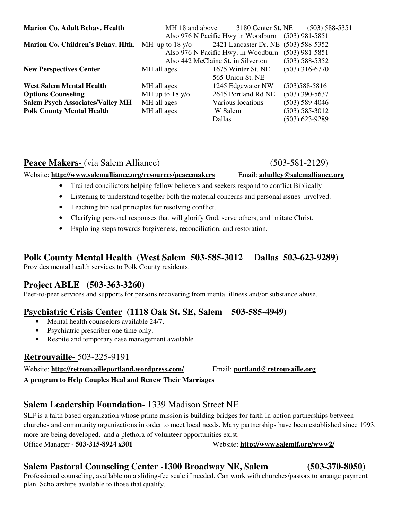| <b>Marion Co. Adult Behav. Health</b>                     | MH 18 and above                    | 3180 Center St. NE                   | $(503)$ 588-5351   |
|-----------------------------------------------------------|------------------------------------|--------------------------------------|--------------------|
|                                                           |                                    | Also 976 N Pacific Hwy in Woodburn   | $(503)$ 981-5851   |
| <b>Marion Co. Children's Behav. Hith.</b> MH up to 18 y/o |                                    | 2421 Lancaster Dr. NE (503) 588-5352 |                    |
|                                                           |                                    | Also 976 N Pacific Hwy. in Woodburn  |                    |
|                                                           | Also 442 McClaine St. in Silverton |                                      | $(503)$ 588-5352   |
| <b>New Perspectives Center</b>                            | MH all ages                        | 1675 Winter St. NE                   | $(503)$ 316-6770   |
|                                                           |                                    | 565 Union St. NE                     |                    |
| <b>West Salem Mental Health</b>                           | MH all ages                        | 1245 Edgewater NW                    | $(503)588 - 5816$  |
| <b>Options Counseling</b>                                 | MH up to $18 \text{ y/o}$          | 2645 Portland Rd NE                  | $(503)$ 390-5637   |
| <b>Salem Psych Associates/Valley MH</b>                   | MH all ages                        | Various locations                    | $(503) 589-4046$   |
| <b>Polk County Mental Health</b>                          | MH all ages                        | W Salem                              | $(503) 585 - 3012$ |
|                                                           |                                    | <b>Dallas</b>                        | (503) 623-9289     |

### Peace Makers- (via Salem Alliance) (503-581-2129)

#### Website: **http://www.salemalliance.org/resources/peacemakers** Email: **adudley@salemalliance.org**

- Trained conciliators helping fellow believers and seekers respond to conflict Biblically
- Listening to understand together both the material concerns and personal issues involved.
- Teaching biblical principles for resolving conflict.
- Clarifying personal responses that will glorify God, serve others, and imitate Christ.
- Exploring steps towards forgiveness, reconciliation, and restoration.

## **Polk County Mental Health (West Salem 503-585-3012 Dallas 503-623-9289)**

Provides mental health services to Polk County residents.

## **Project ABLE (503-363-3260)**

Peer-to-peer services and supports for persons recovering from mental illness and/or substance abuse.

## **Psychiatric Crisis Center (1118 Oak St. SE, Salem 503-585-4949)**

- Mental health counselors available 24/7.
- Psychiatric prescriber one time only.
- Respite and temporary case management available

#### **Retrouvaille-** 503-225-9191

Website: **http://retrouvailleportland.wordpress.com/** Email: **portland@retrouvaille.org** 

**A program to Help Couples Heal and Renew Their Marriages** 

## **Salem Leadership Foundation-** 1339 Madison Street NE

SLF is a faith based organization whose prime mission is building bridges for faith-in-action partnerships between churches and community organizations in order to meet local needs. Many partnerships have been established since 1993, more are being developed, and a plethora of volunteer opportunities exist. Office Manager - **503-315-8924 x301** Website: **http://www.salemlf.org/www2/** 

## **Salem Pastoral Counseling Center -1300 Broadway NE, Salem (503-370-8050)**

Professional counseling, available on a sliding-fee scale if needed. Can work with churches/pastors to arrange payment plan. Scholarships available to those that qualify.